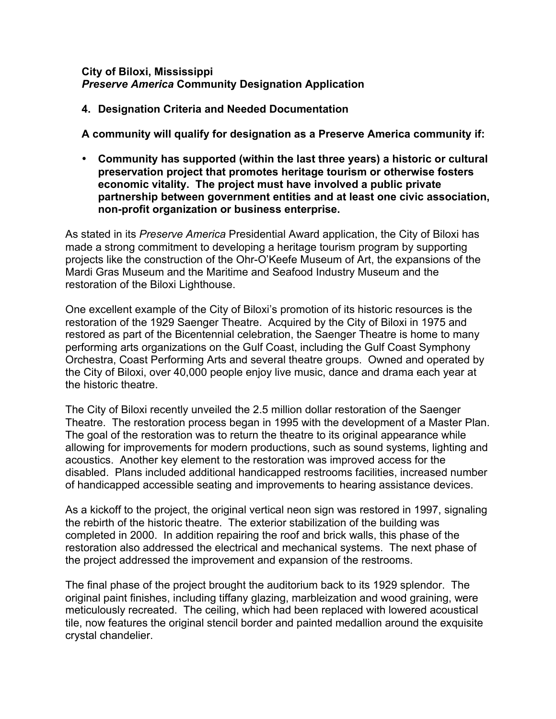#### **City of Biloxi, Mississippi** *Preserve America* **Community Designation Application**

### **4. Designation Criteria and Needed Documentation**

**A community will qualify for designation as a Preserve America community if:**

• **Community has supported (within the last three years) a historic or cultural preservation project that promotes heritage tourism or otherwise fosters economic vitality. The project must have involved a public private partnership between government entities and at least one civic association, non-profit organization or business enterprise.**

As stated in its *Preserve America* Presidential Award application, the City of Biloxi has made a strong commitment to developing a heritage tourism program by supporting projects like the construction of the Ohr-O'Keefe Museum of Art, the expansions of the Mardi Gras Museum and the Maritime and Seafood Industry Museum and the restoration of the Biloxi Lighthouse.

One excellent example of the City of Biloxi's promotion of its historic resources is the restoration of the 1929 Saenger Theatre. Acquired by the City of Biloxi in 1975 and restored as part of the Bicentennial celebration, the Saenger Theatre is home to many performing arts organizations on the Gulf Coast, including the Gulf Coast Symphony Orchestra, Coast Performing Arts and several theatre groups. Owned and operated by the City of Biloxi, over 40,000 people enjoy live music, dance and drama each year at the historic theatre.

The City of Biloxi recently unveiled the 2.5 million dollar restoration of the Saenger Theatre. The restoration process began in 1995 with the development of a Master Plan. The goal of the restoration was to return the theatre to its original appearance while allowing for improvements for modern productions, such as sound systems, lighting and acoustics. Another key element to the restoration was improved access for the disabled. Plans included additional handicapped restrooms facilities, increased number of handicapped accessible seating and improvements to hearing assistance devices.

As a kickoff to the project, the original vertical neon sign was restored in 1997, signaling the rebirth of the historic theatre. The exterior stabilization of the building was completed in 2000. In addition repairing the roof and brick walls, this phase of the restoration also addressed the electrical and mechanical systems. The next phase of the project addressed the improvement and expansion of the restrooms.

The final phase of the project brought the auditorium back to its 1929 splendor. The original paint finishes, including tiffany glazing, marbleization and wood graining, were meticulously recreated. The ceiling, which had been replaced with lowered acoustical tile, now features the original stencil border and painted medallion around the exquisite crystal chandelier.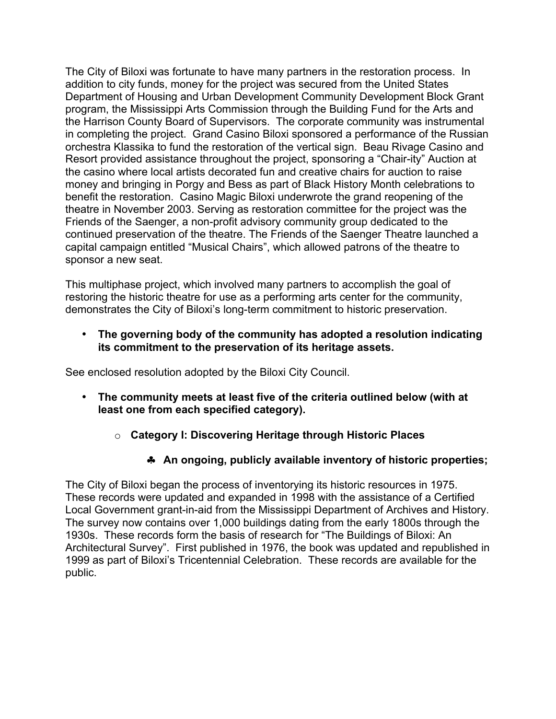The City of Biloxi was fortunate to have many partners in the restoration process. In addition to city funds, money for the project was secured from the United States Department of Housing and Urban Development Community Development Block Grant program, the Mississippi Arts Commission through the Building Fund for the Arts and the Harrison County Board of Supervisors. The corporate community was instrumental in completing the project. Grand Casino Biloxi sponsored a performance of the Russian orchestra Klassika to fund the restoration of the vertical sign. Beau Rivage Casino and Resort provided assistance throughout the project, sponsoring a "Chair-ity" Auction at the casino where local artists decorated fun and creative chairs for auction to raise money and bringing in Porgy and Bess as part of Black History Month celebrations to benefit the restoration. Casino Magic Biloxi underwrote the grand reopening of the theatre in November 2003. Serving as restoration committee for the project was the Friends of the Saenger, a non-profit advisory community group dedicated to the continued preservation of the theatre. The Friends of the Saenger Theatre launched a capital campaign entitled "Musical Chairs", which allowed patrons of the theatre to sponsor a new seat.

This multiphase project, which involved many partners to accomplish the goal of restoring the historic theatre for use as a performing arts center for the community, demonstrates the City of Biloxi's long-term commitment to historic preservation.

• **The governing body of the community has adopted a resolution indicating its commitment to the preservation of its heritage assets.**

See enclosed resolution adopted by the Biloxi City Council.

- **The community meets at least five of the criteria outlined below (with at least one from each specified category).**
	- o **Category I: Discovering Heritage through Historic Places**
		- ♣ **An ongoing, publicly available inventory of historic properties;**

The City of Biloxi began the process of inventorying its historic resources in 1975. These records were updated and expanded in 1998 with the assistance of a Certified Local Government grant-in-aid from the Mississippi Department of Archives and History. The survey now contains over 1,000 buildings dating from the early 1800s through the 1930s. These records form the basis of research for "The Buildings of Biloxi: An Architectural Survey". First published in 1976, the book was updated and republished in 1999 as part of Biloxi's Tricentennial Celebration. These records are available for the public.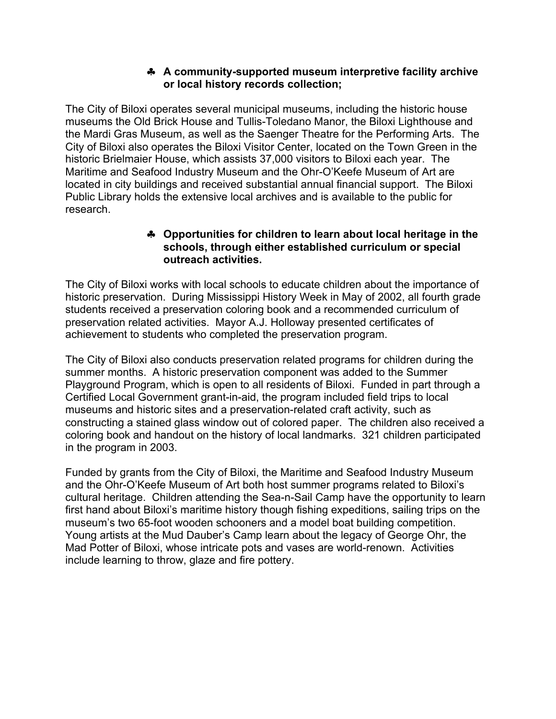### ♣ **A community-supported museum interpretive facility archive or local history records collection;**

The City of Biloxi operates several municipal museums, including the historic house museums the Old Brick House and Tullis-Toledano Manor, the Biloxi Lighthouse and the Mardi Gras Museum, as well as the Saenger Theatre for the Performing Arts. The City of Biloxi also operates the Biloxi Visitor Center, located on the Town Green in the historic Brielmaier House, which assists 37,000 visitors to Biloxi each year. The Maritime and Seafood Industry Museum and the Ohr-O'Keefe Museum of Art are located in city buildings and received substantial annual financial support. The Biloxi Public Library holds the extensive local archives and is available to the public for research.

### ♣ **Opportunities for children to learn about local heritage in the schools, through either established curriculum or special outreach activities.**

The City of Biloxi works with local schools to educate children about the importance of historic preservation. During Mississippi History Week in May of 2002, all fourth grade students received a preservation coloring book and a recommended curriculum of preservation related activities. Mayor A.J. Holloway presented certificates of achievement to students who completed the preservation program.

The City of Biloxi also conducts preservation related programs for children during the summer months. A historic preservation component was added to the Summer Playground Program, which is open to all residents of Biloxi. Funded in part through a Certified Local Government grant-in-aid, the program included field trips to local museums and historic sites and a preservation-related craft activity, such as constructing a stained glass window out of colored paper. The children also received a coloring book and handout on the history of local landmarks. 321 children participated in the program in 2003.

Funded by grants from the City of Biloxi, the Maritime and Seafood Industry Museum and the Ohr-O'Keefe Museum of Art both host summer programs related to Biloxi's cultural heritage. Children attending the Sea-n-Sail Camp have the opportunity to learn first hand about Biloxi's maritime history though fishing expeditions, sailing trips on the museum's two 65-foot wooden schooners and a model boat building competition. Young artists at the Mud Dauber's Camp learn about the legacy of George Ohr, the Mad Potter of Biloxi, whose intricate pots and vases are world-renown. Activities include learning to throw, glaze and fire pottery.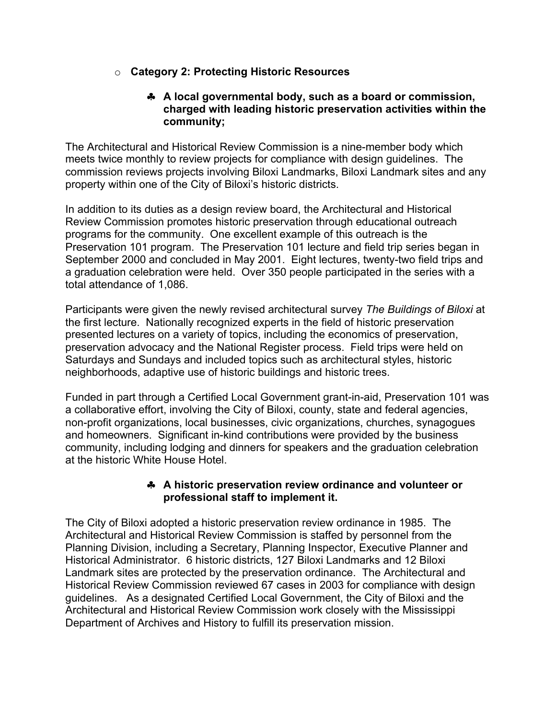## o **Category 2: Protecting Historic Resources**

#### ♣ **A local governmental body, such as a board or commission, charged with leading historic preservation activities within the community;**

The Architectural and Historical Review Commission is a nine-member body which meets twice monthly to review projects for compliance with design guidelines. The commission reviews projects involving Biloxi Landmarks, Biloxi Landmark sites and any property within one of the City of Biloxi's historic districts.

In addition to its duties as a design review board, the Architectural and Historical Review Commission promotes historic preservation through educational outreach programs for the community. One excellent example of this outreach is the Preservation 101 program. The Preservation 101 lecture and field trip series began in September 2000 and concluded in May 2001. Eight lectures, twenty-two field trips and a graduation celebration were held. Over 350 people participated in the series with a total attendance of 1,086.

Participants were given the newly revised architectural survey *The Buildings of Biloxi* at the first lecture. Nationally recognized experts in the field of historic preservation presented lectures on a variety of topics, including the economics of preservation, preservation advocacy and the National Register process. Field trips were held on Saturdays and Sundays and included topics such as architectural styles, historic neighborhoods, adaptive use of historic buildings and historic trees.

Funded in part through a Certified Local Government grant-in-aid, Preservation 101 was a collaborative effort, involving the City of Biloxi, county, state and federal agencies, non-profit organizations, local businesses, civic organizations, churches, synagogues and homeowners. Significant in-kind contributions were provided by the business community, including lodging and dinners for speakers and the graduation celebration at the historic White House Hotel.

#### ♣ **A historic preservation review ordinance and volunteer or professional staff to implement it.**

The City of Biloxi adopted a historic preservation review ordinance in 1985. The Architectural and Historical Review Commission is staffed by personnel from the Planning Division, including a Secretary, Planning Inspector, Executive Planner and Historical Administrator. 6 historic districts, 127 Biloxi Landmarks and 12 Biloxi Landmark sites are protected by the preservation ordinance. The Architectural and Historical Review Commission reviewed 67 cases in 2003 for compliance with design guidelines. As a designated Certified Local Government, the City of Biloxi and the Architectural and Historical Review Commission work closely with the Mississippi Department of Archives and History to fulfill its preservation mission.